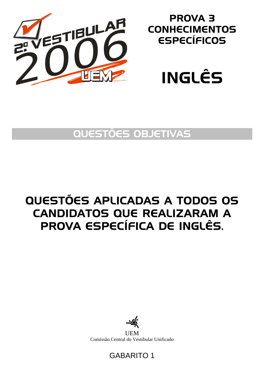

## PROVA 3 **CONHECIMENTOS** ESPECÍFICOS



## QUESTÕES OBJETIVAS

# QUESTÕES APLICADAS A TODOS OS CANDIDATOS QUE REALIZARAM A PROVA ESPECÍFICA DE INGLÊS.



**UEM** Comissão Central do Vestibular Unificado

### GABARITO 1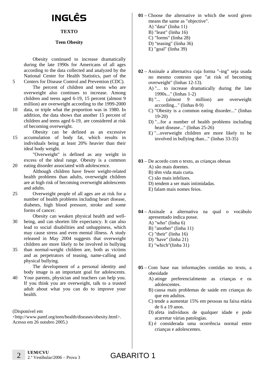# INGLÊS

#### **TEXTO**

#### **Teen Obesity**

Obesity continued to increase dramatically during the late 1990s for Americans of all ages according to the data collected and analyzed by the National Center for Health Statistics, part of the Centers for Disease Control and Prevention (CDC).

The percent of children and teens who are overweight also continues to increase. Among children and teens aged 6-19, 15 percent (almost 9 million) are overweight according to the 1999-2000

- 10 data, or triple what the proportion was in 1980. In addition, the data shows that another 15 percent of children and teens aged 6-19, are considered at risk of becoming overweight.
- 15 Obesity can be defined as an excessive accumulation of body fat, which results in individuals being at least 20% heavier than their ideal body weight.

"Overweight" is defined as any weight in excess of the ideal range. Obesity is a common eating disorder associated with adolescence.

Although children have fewer weight-related health problems than adults, overweight children are at high risk of becoming overweight adolescents and adults.

- 25 Overweight people of all ages are at risk for a number of health problems including heart disease, diabetes, high blood pressure, stroke and some forms of cancer.
- 30 Obesity can weaken physical health and wellbeing, and can shorten life expectancy. It can also lead to social disabilities and unhappiness, which may cause stress and even mental illness. A study released in May 2004 suggests that overweight children are more likely to be involved in bullying
- 35 than normal-weight children are, both as victims and as perpetrators of teasing, name-calling and physical bullying.

The development of a personal identity and body image is an important goal for adolescents.

40 Your parents, physician and teachers can help you. If you think you are overweight, talk to a trusted adult about what you can do to improve your health.

(Disponível em

5

20

<http://www.pamf.org/teen/health/diseases/obesity.html>. Acesso em 26 outubro 2005.)

- **01** Choose the alternative in which the word given means the same as "objective". A) "data" (linha 11) B) "least" (linha 16) C) "forms" (linha 28) D) "teasing" (linha 36) E) "goal" (linha 39)
- **02** Assinale a alternativa cuja forma "-ing" seja usada no mesmo contexto que "at risk of becoming overweight" (linhas 12-13).
	- A) "... to increase dramatically during the late 1990s..." (linhas 1-2)
	- B) "... (almost 9 million) are overweight according..." (linhas 8-9)
	- C) "Obesity is a common eating disorder..." (linhas 19-20)
	- D) "...for a number of health problems including heart disease..." (linhas 25-26)
	- E) "...overweight children are more likely to be involved in bullying than..." (linhas 33-35)
- **03** De acordo com o texto, as crianças obesas A) são mais doentes.
	- B) têm vida mais curta.
	- C) são mais infelizes.
	- D) tendem a ser mais intimidadas.
	- E) falam mais nomes feios.

**04** – Assinale a alternativa na qual o vocábulo apresentado indica posse. A) "who" (linha 6) B) "another" (linha 11) C) "their" (linha 16)

- D) "have" (linha 21) E) "which"(linha 31)
- 
- **05** Com base nas informações contidas no texto, a obesidade
	- A) atinge preferencialmente as crianças e os adolescentes.
	- B) causa mais problemas de saúde em crianças do que em adultos.
	- C) tende a aumentar 15% em pessoas na faixa etária de 6 a 19 anos.
	- D) afeta indivíduos de qualquer idade e pode acarretar várias patologias.
	- E) é considerada uma ocorrência normal entre crianças e adolescentes.

### GABARITO 1